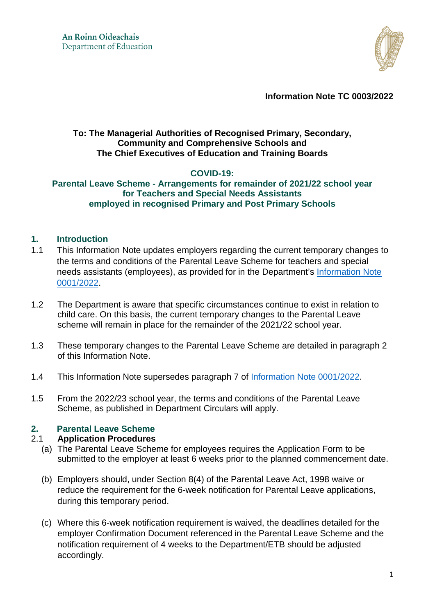

**Information Note TC 0003/2022** 

## **To: The Managerial Authorities of Recognised Primary, Secondary, Community and Comprehensive Schools and The Chief Executives of Education and Training Boards**

# **COVID-19:**

### **Parental Leave Scheme - Arrangements for remainder of 2021/22 school year for Teachers and Special Needs Assistants employed in recognised Primary and Post Primary Schools**

### **1. Introduction**

- 1.1 This Information Note updates employers regarding the current temporary changes to the terms and conditions of the Parental Leave Scheme for teachers and special needs assistants (employees), as provided for in the Department's [Information Note](https://www.gov.ie/en/publication/58bb6-information-note-tc-00012022-covid-19-updated-working-and-leave-arrangements-from-january-2022-for-teachers-and-special-needs-assistants-employed-in-recognised-primary-and-post-primary-schools/)  [0001/2022.](https://www.gov.ie/en/publication/58bb6-information-note-tc-00012022-covid-19-updated-working-and-leave-arrangements-from-january-2022-for-teachers-and-special-needs-assistants-employed-in-recognised-primary-and-post-primary-schools/)
- 1.2 The Department is aware that specific circumstances continue to exist in relation to child care. On this basis, the current temporary changes to the Parental Leave scheme will remain in place for the remainder of the 2021/22 school year.
- 1.3 These temporary changes to the Parental Leave Scheme are detailed in paragraph 2 of this Information Note.
- 1.4 This Information Note supersedes paragraph 7 of [Information Note 0001/2022.](https://www.gov.ie/en/publication/58bb6-information-note-tc-00012022-covid-19-updated-working-and-leave-arrangements-from-january-2022-for-teachers-and-special-needs-assistants-employed-in-recognised-primary-and-post-primary-schools/)
- 1.5 From the 2022/23 school year, the terms and conditions of the Parental Leave Scheme, as published in Department Circulars will apply.

## **2. Parental Leave Scheme**

### 2.1 **Application Procedures**

- (a) The Parental Leave Scheme for employees requires the Application Form to be submitted to the employer at least 6 weeks prior to the planned commencement date.
- (b) Employers should, under Section 8(4) of the Parental Leave Act, 1998 waive or reduce the requirement for the 6-week notification for Parental Leave applications, during this temporary period.
- (c) Where this 6-week notification requirement is waived, the deadlines detailed for the employer Confirmation Document referenced in the Parental Leave Scheme and the notification requirement of 4 weeks to the Department/ETB should be adjusted accordingly.